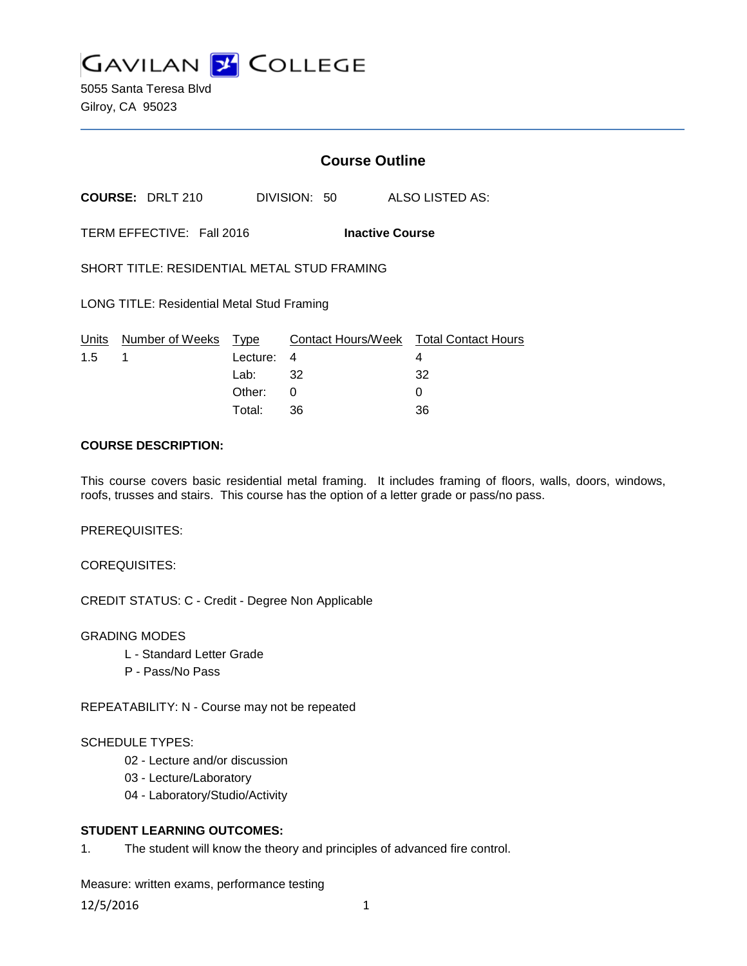

5055 Santa Teresa Blvd Gilroy, CA 95023

# **Course Outline**

**COURSE:** DRLT 210 DIVISION: 50 ALSO LISTED AS:

TERM EFFECTIVE: Fall 2016 **Inactive Course**

SHORT TITLE: RESIDENTIAL METAL STUD FRAMING

LONG TITLE: Residential Metal Stud Framing

|               | Units Number of Weeks Type |            | Contact Hours/Week  Total Contact Hours |     |
|---------------|----------------------------|------------|-----------------------------------------|-----|
| $1.5 \quad 1$ |                            | Lecture: 4 |                                         |     |
|               |                            | Lab: _     | 32                                      | -32 |
|               |                            | Other:     |                                         |     |
|               |                            | Total:     | -36                                     | 36  |

### **COURSE DESCRIPTION:**

This course covers basic residential metal framing. It includes framing of floors, walls, doors, windows, roofs, trusses and stairs. This course has the option of a letter grade or pass/no pass.

PREREQUISITES:

COREQUISITES:

CREDIT STATUS: C - Credit - Degree Non Applicable

#### GRADING MODES

- L Standard Letter Grade
- P Pass/No Pass

REPEATABILITY: N - Course may not be repeated

#### SCHEDULE TYPES:

- 02 Lecture and/or discussion
- 03 Lecture/Laboratory
- 04 Laboratory/Studio/Activity

### **STUDENT LEARNING OUTCOMES:**

1. The student will know the theory and principles of advanced fire control.

Measure: written exams, performance testing

12/5/2016 1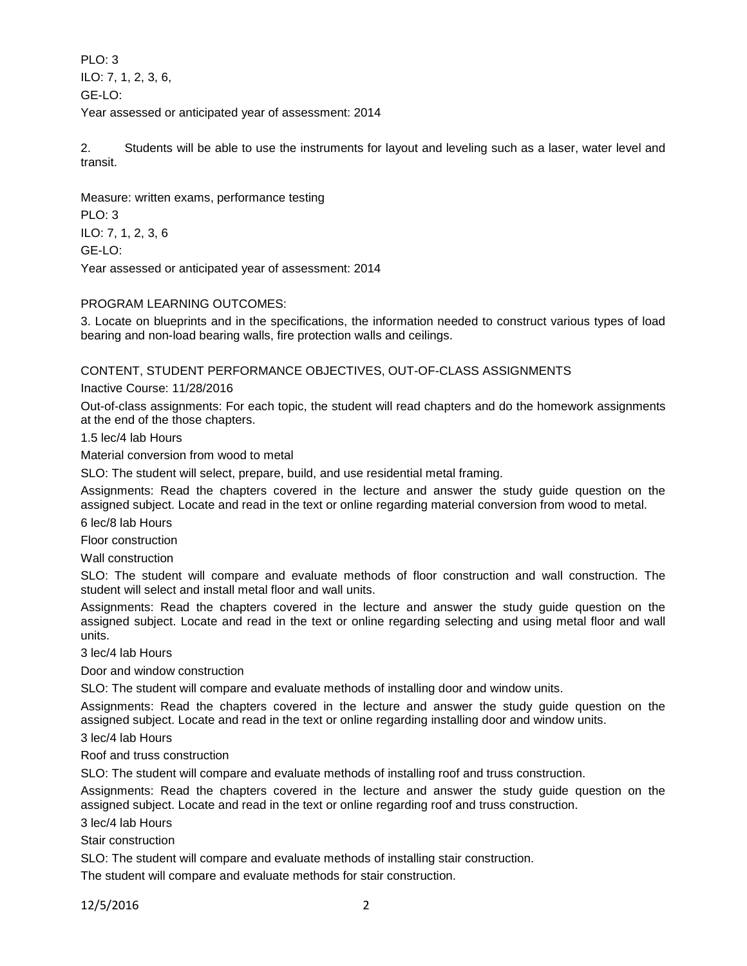PLO: 3 ILO: 7, 1, 2, 3, 6, GE-LO: Year assessed or anticipated year of assessment: 2014

2. Students will be able to use the instruments for layout and leveling such as a laser, water level and transit.

Measure: written exams, performance testing PLO: 3 ILO: 7, 1, 2, 3, 6 GE-LO: Year assessed or anticipated year of assessment: 2014

# PROGRAM LEARNING OUTCOMES:

3. Locate on blueprints and in the specifications, the information needed to construct various types of load bearing and non-load bearing walls, fire protection walls and ceilings.

# CONTENT, STUDENT PERFORMANCE OBJECTIVES, OUT-OF-CLASS ASSIGNMENTS

Inactive Course: 11/28/2016

Out-of-class assignments: For each topic, the student will read chapters and do the homework assignments at the end of the those chapters.

1.5 lec/4 lab Hours

Material conversion from wood to metal

SLO: The student will select, prepare, build, and use residential metal framing.

Assignments: Read the chapters covered in the lecture and answer the study guide question on the assigned subject. Locate and read in the text or online regarding material conversion from wood to metal.

6 lec/8 lab Hours

Floor construction

Wall construction

SLO: The student will compare and evaluate methods of floor construction and wall construction. The student will select and install metal floor and wall units.

Assignments: Read the chapters covered in the lecture and answer the study guide question on the assigned subject. Locate and read in the text or online regarding selecting and using metal floor and wall units.

3 lec/4 lab Hours

Door and window construction

SLO: The student will compare and evaluate methods of installing door and window units.

Assignments: Read the chapters covered in the lecture and answer the study guide question on the assigned subject. Locate and read in the text or online regarding installing door and window units.

3 lec/4 lab Hours

Roof and truss construction

SLO: The student will compare and evaluate methods of installing roof and truss construction.

Assignments: Read the chapters covered in the lecture and answer the study guide question on the assigned subject. Locate and read in the text or online regarding roof and truss construction.

3 lec/4 lab Hours

Stair construction

SLO: The student will compare and evaluate methods of installing stair construction.

The student will compare and evaluate methods for stair construction.

12/5/2016 2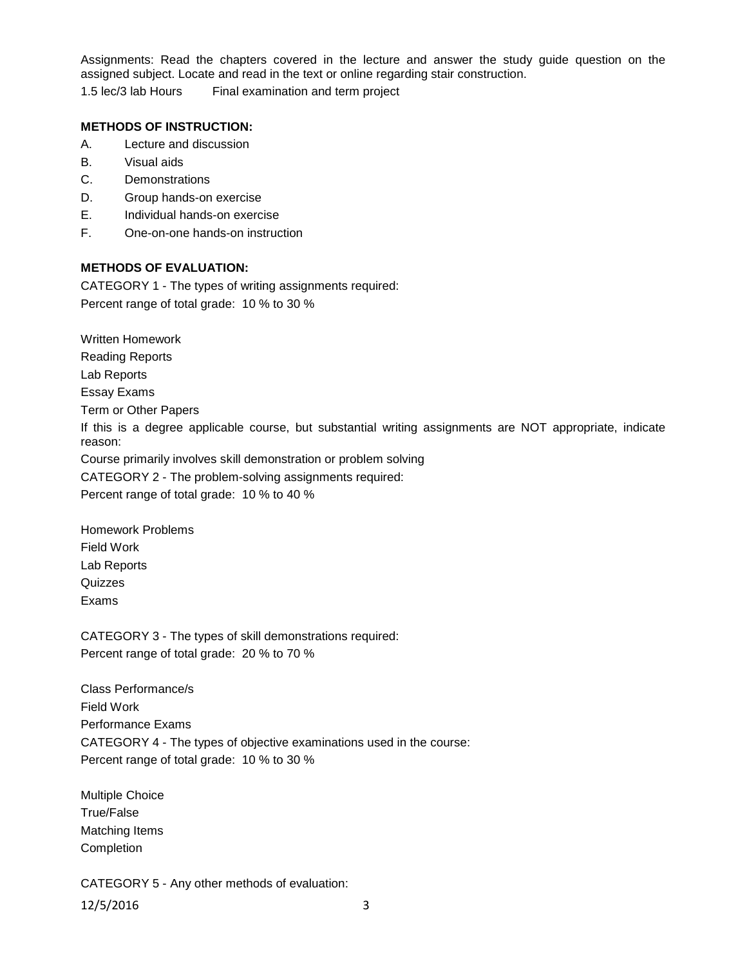Assignments: Read the chapters covered in the lecture and answer the study guide question on the assigned subject. Locate and read in the text or online regarding stair construction.

1.5 lec/3 lab Hours Final examination and term project

### **METHODS OF INSTRUCTION:**

- A. Lecture and discussion
- B. Visual aids
- C. Demonstrations
- D. Group hands-on exercise
- E. Individual hands-on exercise
- F. One-on-one hands-on instruction

### **METHODS OF EVALUATION:**

CATEGORY 1 - The types of writing assignments required: Percent range of total grade: 10 % to 30 %

Written Homework

Reading Reports

Lab Reports

Essay Exams

Term or Other Papers

If this is a degree applicable course, but substantial writing assignments are NOT appropriate, indicate reason:

Course primarily involves skill demonstration or problem solving

CATEGORY 2 - The problem-solving assignments required:

Percent range of total grade: 10 % to 40 %

Homework Problems Field Work Lab Reports **Quizzes** Exams

CATEGORY 3 - The types of skill demonstrations required: Percent range of total grade: 20 % to 70 %

Class Performance/s Field Work Performance Exams CATEGORY 4 - The types of objective examinations used in the course: Percent range of total grade: 10 % to 30 %

Multiple Choice True/False Matching Items Completion

CATEGORY 5 - Any other methods of evaluation: 12/5/2016 3